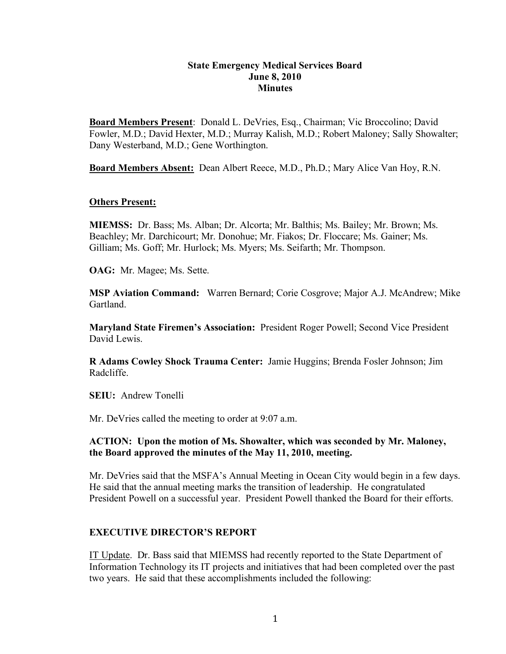#### **State Emergency Medical Services Board June 8, 2010 Minutes**

**Board Members Present**: Donald L. DeVries, Esq., Chairman; Vic Broccolino; David Fowler, M.D.; David Hexter, M.D.; Murray Kalish, M.D.; Robert Maloney; Sally Showalter; Dany Westerband, M.D.; Gene Worthington.

**Board Members Absent:** Dean Albert Reece, M.D., Ph.D.; Mary Alice Van Hoy, R.N.

#### **Others Present:**

**MIEMSS:** Dr. Bass; Ms. Alban; Dr. Alcorta; Mr. Balthis; Ms. Bailey; Mr. Brown; Ms. Beachley; Mr. Darchicourt; Mr. Donohue; Mr. Fiakos; Dr. Floccare; Ms. Gainer; Ms. Gilliam; Ms. Goff; Mr. Hurlock; Ms. Myers; Ms. Seifarth; Mr. Thompson.

**OAG:** Mr. Magee; Ms. Sette.

**MSP Aviation Command:** Warren Bernard; Corie Cosgrove; Major A.J. McAndrew; Mike Gartland.

**Maryland State Firemen's Association:** President Roger Powell; Second Vice President David Lewis.

**R Adams Cowley Shock Trauma Center:** Jamie Huggins; Brenda Fosler Johnson; Jim Radcliffe.

**SEIU:** Andrew Tonelli

Mr. DeVries called the meeting to order at 9:07 a.m.

#### **ACTION: Upon the motion of Ms. Showalter, which was seconded by Mr. Maloney, the Board approved the minutes of the May 11, 2010, meeting.**

Mr. DeVries said that the MSFA's Annual Meeting in Ocean City would begin in a few days. He said that the annual meeting marks the transition of leadership. He congratulated President Powell on a successful year. President Powell thanked the Board for their efforts.

#### **EXECUTIVE DIRECTOR'S REPORT**

IT Update. Dr. Bass said that MIEMSS had recently reported to the State Department of Information Technology its IT projects and initiatives that had been completed over the past two years. He said that these accomplishments included the following: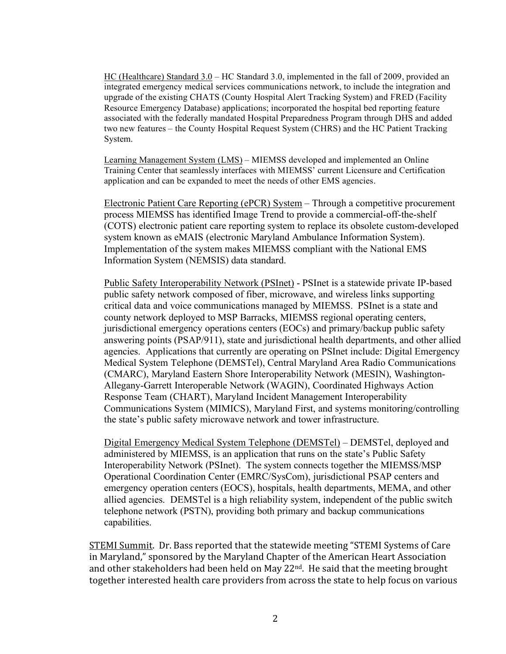HC (Healthcare) Standard 3.0 – HC Standard 3.0, implemented in the fall of 2009, provided an integrated emergency medical services communications network, to include the integration and upgrade of the existing CHATS (County Hospital Alert Tracking System) and FRED (Facility Resource Emergency Database) applications; incorporated the hospital bed reporting feature associated with the federally mandated Hospital Preparedness Program through DHS and added two new features – the County Hospital Request System (CHRS) and the HC Patient Tracking System.

Learning Management System (LMS) – MIEMSS developed and implemented an Online Training Center that seamlessly interfaces with MIEMSS' current Licensure and Certification application and can be expanded to meet the needs of other EMS agencies.

Electronic Patient Care Reporting (ePCR) System – Through a competitive procurement process MIEMSS has identified Image Trend to provide a commercial-off-the-shelf (COTS) electronic patient care reporting system to replace its obsolete custom-developed system known as eMAIS (electronic Maryland Ambulance Information System). Implementation of the system makes MIEMSS compliant with the National EMS Information System (NEMSIS) data standard.

Public Safety Interoperability Network (PSInet) - PSInet is a statewide private IP-based public safety network composed of fiber, microwave, and wireless links supporting critical data and voice communications managed by MIEMSS. PSInet is a state and county network deployed to MSP Barracks, MIEMSS regional operating centers, jurisdictional emergency operations centers (EOCs) and primary/backup public safety answering points (PSAP/911), state and jurisdictional health departments, and other allied agencies. Applications that currently are operating on PSInet include: Digital Emergency Medical System Telephone (DEMSTel), Central Maryland Area Radio Communications (CMARC), Maryland Eastern Shore Interoperability Network (MESIN), Washington-Allegany-Garrett Interoperable Network (WAGIN), Coordinated Highways Action Response Team (CHART), Maryland Incident Management Interoperability Communications System (MIMICS), Maryland First, and systems monitoring/controlling the state's public safety microwave network and tower infrastructure.

Digital Emergency Medical System Telephone (DEMSTel) – DEMSTel, deployed and administered by MIEMSS, is an application that runs on the state's Public Safety Interoperability Network (PSInet). The system connects together the MIEMSS/MSP Operational Coordination Center (EMRC/SysCom), jurisdictional PSAP centers and emergency operation centers (EOCS), hospitals, health departments, MEMA, and other allied agencies. DEMSTel is a high reliability system, independent of the public switch telephone network (PSTN), providing both primary and backup communications capabilities.

STEMI Summit. Dr. Bass reported that the statewide meeting "STEMI Systems of Care in
Maryland,"
sponsored
by
the
Maryland
Chapter
of
the
American
Heart
Association and other stakeholders had been held on May 22<sup>nd</sup>. He said that the meeting brought together interested health care providers from across the state to help focus on various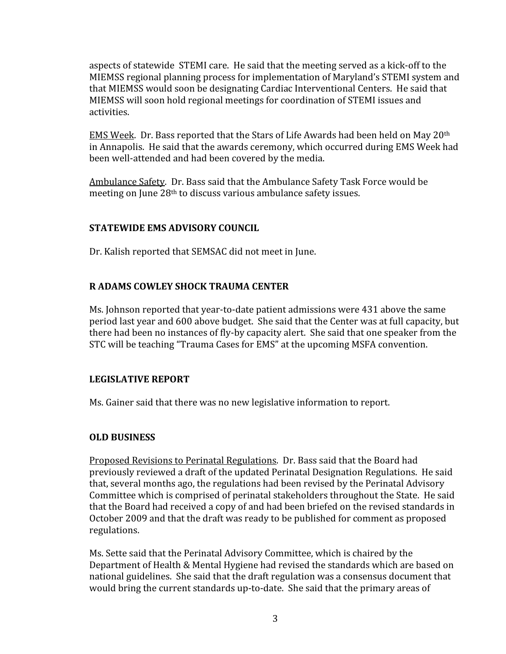aspects
of
statewide

STEMI
care.

He
said
that
the
meeting
served
as
a
kick‐off
to
the MIEMSS
regional
planning
process
for
implementation
of
Maryland's
STEMI
system
and that
MIEMSS
would
soon
be
designating Cardiac Interventional
Centers.

He
said
that MIEMSS
will
soon hold regional meetings for
coordination
of
STEMI
issues
and activities.

EMS Week. Dr. Bass reported that the Stars of Life Awards had been held on May 20<sup>th</sup> in
Annapolis.

He
said
that
the
awards ceremony,
which
occurred during
EMS
Week
had been
well‐attended
and
had
been
covered
by
the
media.

Ambulance
Safety.

Dr.
Bass said
that
the
Ambulance
Safety
Task
Force
would
be meeting
on
June
28th
to
discuss
various
ambulance
safety
issues.

## **STATEWIDE
EMS
ADVISORY
COUNCIL**

Dr.
Kalish reported
that
SEMSAC did
not
meet
in
June.

# **R
ADAMS
COWLEY
SHOCK
TRAUMA
CENTER**

Ms. Johnson reported that year-to-date patient admissions were 431 above the same period
last
year
and 600
above
budget.

She
said
that the
Center
was
at
full
capacity,
but there had been no instances of fly-by capacity alert. She said that one speaker from the STC
will
be
teaching
"Trauma
Cases
for
EMS"
at
the
upcoming
MSFA
convention.

## **LEGISLATIVE
REPORT**

Ms. Gainer said that there was no new legislative information to report.

## **OLD
BUSINESS**

Proposed Revisions to Perinatal Regulations. Dr. Bass said that the Board had previously reviewed a draft of the updated Perinatal Designation Regulations. He said that, several months ago, the regulations had been revised by the Perinatal Advisory Committee which is comprised of perinatal stakeholders throughout the State. He said that
the
Board had
received
a
copy
of
and
had
been
briefed
on
the
revised
standards
in October
2009
and
that the
draft
was
ready
to
be
published
for
comment
as
proposed regulations.

Ms.
Sette
said
that
the
Perinatal
Advisory
Committee,
which
is
chaired
by
the Department of Health & Mental Hygiene had revised the standards which are based on national guidelines. She said that the draft regulation was a consensus document that would bring the current standards up-to-date. She said that the primary areas of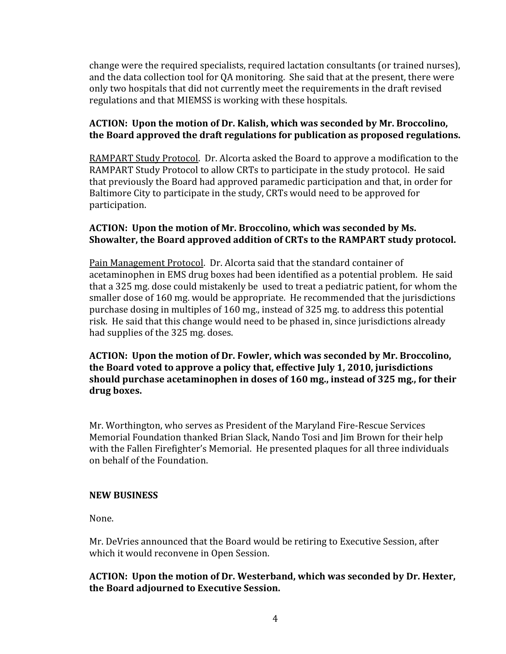change
were
the
required
specialists, required lactation
consultants (or
trained
nurses), and
the
data
collection
tool
for QA
monitoring.

She
said
that
at
the
present,
there
were only
two
hospitals
that
did
not
currently
meet
the
requirements
in
the
draft
revised regulations
and
that
MIEMSS
is
working
with
these
hospitals.

# ACTION: Upon the motion of Dr. Kalish, which was seconded by Mr. Broccolino, **the
Board
approved
the
draft
regulations
for
publication
as
proposed
regulations.**

RAMPART Study Protocol. Dr. Alcorta asked the Board to approve a modification to the RAMPART Study Protocol to allow CRTs to participate in the study protocol. He said that
previously
the
Board
had
approved
paramedic
participation
and
that,
in
order
for Baltimore City to participate in the study, CRTs would need to be approved for participation.

## ACTION: Upon the motion of Mr. Broccolino, which was seconded by Ms. Showalter, the Board approved addition of CRTs to the RAMPART study protocol.

Pain
Management
Protocol.

Dr.
Alcorta
said
that
the
standard
container
of acetaminophen in EMS drug boxes had been identified as a potential problem. He said that
a
325
mg.
dose
could
mistakenly be

used
to
treat
a
pediatric
patient,
for
whom the smaller
dose
of
160 mg.
would
be
appropriate.

He
recommended
that
the
jurisdictions purchase
dosing
in
multiples
of
160 mg.,
instead
of
325
mg.
to address
this
potential risk.

He said
that
this
change
would
need
to
be phased
in,
since
jurisdictions
already had supplies of the 325 mg. doses.

**ACTION:

Upon
the
motion
of
Dr.
Fowler,
which
was
seconded
by
Mr. Broccolino, the
Board
voted
to
approve
a policy
that,
effective
July 1,
2010,
jurisdictions should
purchase
acetaminophen
in
doses
of
160 mg., instead
of
325
mg.,
for
their drug
boxes.** 

Mr.
Worthington,
who
serves
as
President
of
the
Maryland
Fire‐Rescue
Services Memorial Foundation thanked Brian Slack, Nando Tosi and Jim Brown for their help with the Fallen Firefighter's Memorial. He presented plaques for all three individuals on
behalf
of
the
Foundation.

## **NEW
BUSINESS**

None.

Mr. DeVries announced that the Board would be retiring to Executive Session, after which
it would reconvene
in
Open
Session.

# **ACTION:

Upon
the
motion
of Dr. Westerband,
which
was
seconded
by
Dr. Hexter, the
Board
adjourned
to
Executive Session.**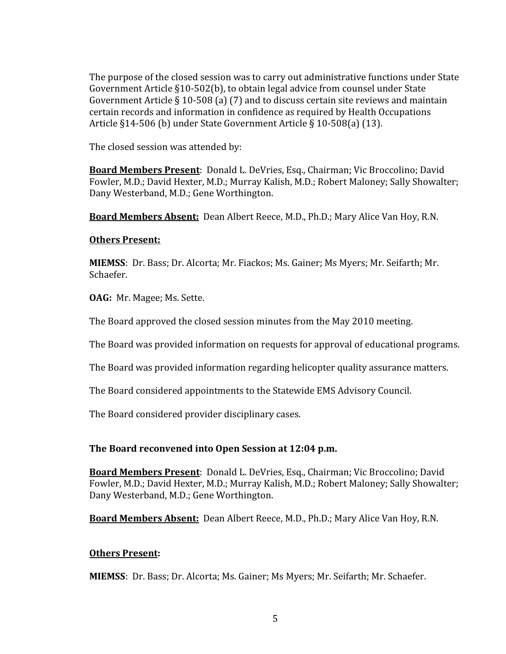The purpose of the closed session was to carry out administrative functions under State Government
Article
§10‐502(b),
to obtain
legal
advice
from
counsel
under
State Government Article § 10-508 (a) (7) and to discuss certain site reviews and maintain certain
records
and
information
in
confidence
as
required
by
Health
Occupations Article §14-506 (b) under State Government Article § 10-508(a) (13).

The
closed
session
was attended
by:

Board Members Present: Donald L. DeVries, Esq., Chairman; Vic Broccolino; David Fowler, M.D.; David Hexter, M.D.; Murray Kalish, M.D.; Robert Maloney; Sally Showalter; Dany
Westerband,
M.D.;
Gene
Worthington.

Board Members Absent: Dean Albert Reece, M.D., Ph.D.; Mary Alice Van Hoy, R.N.

### **Others
Present:**

MIEMSS: Dr. Bass; Dr. Alcorta; Mr. Fiackos; Ms. Gainer; Ms Myers; Mr. Seifarth; Mr. Schaefer.

**OAG:** Mr. Magee; Ms. Sette.

The
Board
approved
the
closed
session
minutes from
the May
2010
meeting.

The
Board was
provided
information
on
requests
for
approval
of
educational
programs.

The
Board was
provided
information
regarding helicopter quality
assurance
matters.

The
Board
considered
appointments
to
the
Statewide
EMS
Advisory
Council.

The
Board
considered
provider
disciplinary
cases.

## **The
Board
reconvened
into
Open
Session
at 12:04 p.m.**

Board Members Present: Donald L. DeVries, Esq., Chairman; Vic Broccolino; David Fowler, M.D.; David Hexter, M.D.; Murray Kalish, M.D.; Robert Maloney; Sally Showalter; Dany
Westerband,
M.D.;
Gene
Worthington.

**Board Members Absent:** Dean Albert Reece, M.D., Ph.D.; Mary Alice Van Hoy, R.N.

## **Others
Present:**

MIEMSS: Dr. Bass; Dr. Alcorta; Ms. Gainer; Ms Myers; Mr. Seifarth; Mr. Schaefer.